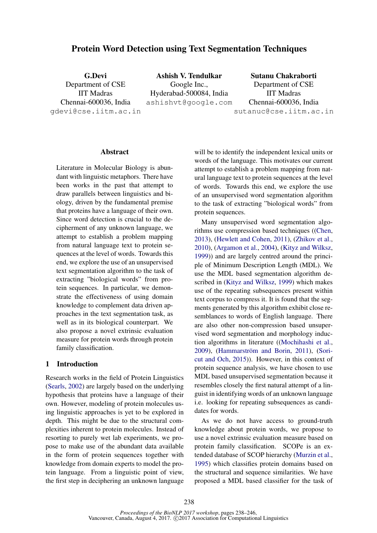# Protein Word Detection using Text Segmentation Techniques

G.Devi Department of CSE IIT Madras Chennai-600036, India gdevi@cse.iitm.ac.in Ashish V. Tendulkar Google Inc., Hyderabad-500084, India ashishvt@google.com Sutanu Chakraborti Department of CSE IIT Madras Chennai-600036, India sutanuc@cse.iitm.ac.in

### Abstract

Literature in Molecular Biology is abundant with linguistic metaphors. There have been works in the past that attempt to draw parallels between linguistics and biology, driven by the fundamental premise that proteins have a language of their own. Since word detection is crucial to the decipherment of any unknown language, we attempt to establish a problem mapping from natural language text to protein sequences at the level of words. Towards this end, we explore the use of an unsupervised text segmentation algorithm to the task of extracting "biological words" from protein sequences. In particular, we demonstrate the effectiveness of using domain knowledge to complement data driven approaches in the text segmentation task, as well as in its biological counterpart. We also propose a novel extrinsic evaluation measure for protein words through protein family classification.

## 1 Introduction

Research works in the field of Protein Linguistics (Searls, 2002) are largely based on the underlying hypothesis that proteins have a language of their own. However, modeling of protein molecules using linguistic approaches is yet to be explored in depth. This might be due to the structural complexities inherent to protein molecules. Instead of resorting to purely wet lab experiments, we propose to make use of the abundant data available in the form of protein sequences together with knowledge from domain experts to model the protein language. From a linguistic point of view, the first step in deciphering an unknown language

will be to identify the independent lexical units or words of the language. This motivates our current attempt to establish a problem mapping from natural language text to protein sequences at the level of words. Towards this end, we explore the use of an unsupervised word segmentation algorithm to the task of extracting "biological words" from protein sequences.

Many unsupervised word segmentation algorithms use compression based techniques ((Chen, 2013), (Hewlett and Cohen, 2011), (Zhikov et al., 2010), (Argamon et al., 2004), (Kityz and Wilksz, 1999)) and are largely centred around the principle of Minimum Description Length (MDL). We use the MDL based segmentation algorithm described in (Kityz and Wilksz, 1999) which makes use of the repeating subsequences present within text corpus to compress it. It is found that the segments generated by this algorithm exhibit close resemblances to words of English language. There are also other non-compression based unsupervised word segmentation and morphology induction algorithms in literature ((Mochihashi et al.,  $2009$ ), (Hammarström and Borin,  $2011$ ), (Soricut and Och, 2015)). However, in this context of protein sequence analysis, we have chosen to use MDL based unsupervised segmentation because it resembles closely the first natural attempt of a linguist in identifying words of an unknown language i.e. looking for repeating subsequences as candidates for words.

As we do not have access to ground-truth knowledge about protein words, we propose to use a novel extrinsic evaluation measure based on protein family classification. SCOPe is an extended database of SCOP hierarchy (Murzin et al., 1995) which classifies protein domains based on the structural and sequence similarities. We have proposed a MDL based classifier for the task of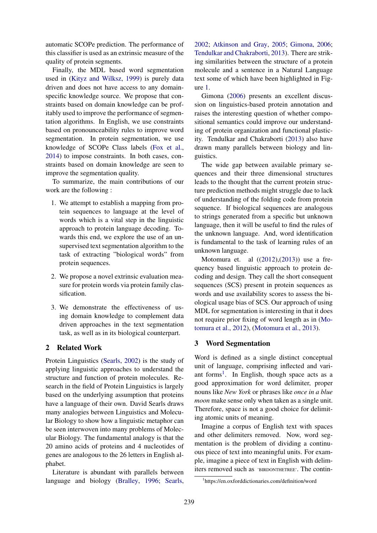automatic SCOPe prediction. The performance of this classifier is used as an extrinsic measure of the quality of protein segments.

Finally, the MDL based word segmentation used in (Kityz and Wilksz, 1999) is purely data driven and does not have access to any domainspecific knowledge source. We propose that constraints based on domain knowledge can be profitably used to improve the performance of segmentation algorithms. In English, we use constraints based on pronounceability rules to improve word segmentation. In protein segmentation, we use knowledge of SCOPe Class labels (Fox et al., 2014) to impose constraints. In both cases, constraints based on domain knowledge are seen to improve the segmentation quality.

To summarize, the main contributions of our work are the following :

- 1. We attempt to establish a mapping from protein sequences to language at the level of words which is a vital step in the linguistic approach to protein language decoding. Towards this end, we explore the use of an unsupervised text segmentation algorithm to the task of extracting "biological words" from protein sequences.
- 2. We propose a novel extrinsic evaluation measure for protein words via protein family classification.
- 3. We demonstrate the effectiveness of using domain knowledge to complement data driven approaches in the text segmentation task, as well as in its biological counterpart.

## 2 Related Work

Protein Linguistics (Searls, 2002) is the study of applying linguistic approaches to understand the structure and function of protein molecules. Research in the field of Protein Linguistics is largely based on the underlying assumption that proteins have a language of their own. David Searls draws many analogies between Linguistics and Molecular Biology to show how a linguistic metaphor can be seen interwoven into many problems of Molecular Biology. The fundamental analogy is that the 20 amino acids of proteins and 4 nucleotides of genes are analogous to the 26 letters in English alphabet.

Literature is abundant with parallels between language and biology (Bralley, 1996; Searls,

2002; Atkinson and Gray, 2005; Gimona, 2006; Tendulkar and Chakraborti, 2013). There are striking similarities between the structure of a protein molecule and a sentence in a Natural Language text some of which have been highlighted in Figure 1.

Gimona (2006) presents an excellent discussion on linguistics-based protein annotation and raises the interesting question of whether compositional semantics could improve our understanding of protein organization and functional plasticity. Tendulkar and Chakraborti (2013) also have drawn many parallels between biology and linguistics.

The wide gap between available primary sequences and their three dimensional structures leads to the thought that the current protein structure prediction methods might struggle due to lack of understanding of the folding code from protein sequence. If biological sequences are analogous to strings generated from a specific but unknown language, then it will be useful to find the rules of the unknown language. And, word identification is fundamental to the task of learning rules of an unknown language.

Motomura et. al ((2012),(2013)) use a frequency based linguistic approach to protein decoding and design. They call the short consequent sequences (SCS) present in protein sequences as words and use availability scores to assess the biological usage bias of SCS. Our approach of using MDL for segmentation is interesting in that it does not require prior fixing of word length as in (Motomura et al., 2012), (Motomura et al., 2013).

# 3 Word Segmentation

Word is defined as a single distinct conceptual unit of language, comprising inflected and variant forms<sup>1</sup>. In English, though space acts as a good approximation for word delimiter, proper nouns like *New York* or phrases like *once in a blue moon* make sense only when taken as a single unit. Therefore, space is not a good choice for delimiting atomic units of meaning.

Imagine a corpus of English text with spaces and other delimiters removed. Now, word segmentation is the problem of dividing a continuous piece of text into meaningful units. For example, imagine a piece of text in English with delimiters removed such as 'BIRDONTHETREE'. The contin-

<sup>1</sup> https://en.oxforddictionaries.com/definition/word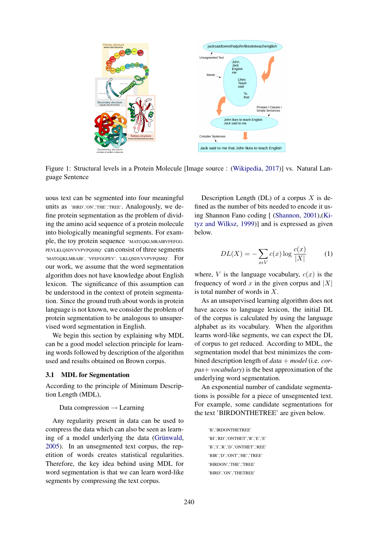

Figure 1: Structural levels in a Protein Molecule [Image source : (Wikipedia, 2017)] vs. Natural Language Sentence

uous text can be segmented into four meaningful units as 'BIRD','ON','THE','TREE'. Analogously, we define protein segmentation as the problem of dividing the amino acid sequence of a protein molecule into biologically meaningful segments. For example, the toy protein sequence 'MATGQKLMRAIRVFEFGG-PEVLKLQSDVVVPVPQSHQ' can consist of three segments 'MATGQKLMRAIR', 'VFEFGGPEV', 'LKLQSDVVVPVPQSHQ'. For our work, we assume that the word segmentation algorithm does not have knowledge about English lexicon. The significance of this assumption can be understood in the context of protein segmentation. Since the ground truth about words in protein language is not known, we consider the problem of protein segmentation to be analogous to unsupervised word segmentation in English.

We begin this section by explaining why MDL can be a good model selection principle for learning words followed by description of the algorithm used and results obtained on Brown corpus.

#### 3.1 MDL for Segmentation

According to the principle of Minimum Description Length (MDL),

#### Data compression  $\rightarrow$  Learning

Any regularity present in data can be used to compress the data which can also be seen as learning of a model underlying the data (Grünwald, 2005). In an unsegmented text corpus, the repetition of words creates statistical regularities. Therefore, the key idea behind using MDL for word segmentation is that we can learn word-like segments by compressing the text corpus.

Description Length (DL) of a corpus  $X$  is defined as the number of bits needed to encode it using Shannon Fano coding [ (Shannon, 2001),(Kityz and Wilksz, 1999)] and is expressed as given below.

$$
DL(X) = -\sum_{x \in V} c(x) \log \frac{c(x)}{|X|} \tag{1}
$$

where, V is the language vocabulary,  $c(x)$  is the frequency of word x in the given corpus and  $|X|$ is total number of words in X.

As an unsupervised learning algorithm does not have access to language lexicon, the initial DL of the corpus is calculated by using the language alphabet as its vocabulary. When the algorithm learns word-like segments, we can expect the DL of corpus to get reduced. According to MDL, the segmentation model that best minimizes the combined description length of *data* + *model* (i.e. *corpus*+ *vocabulary*) is the best approximation of the underlying word segmentation.

An exponential number of candidate segmentations is possible for a piece of unsegmented text. For example, some candidate segmentations for the text 'BIRDONTHETREE' are given below.

> 'B','IRDONTHETREE' 'BI','RD','ONTHET','R','E','E' 'B','I','R','D','ONTHET','REE' 'BIR','D','ONT','HE','TREE' 'BIRDON','THE','TREE' 'BIRD','ON','THETREE'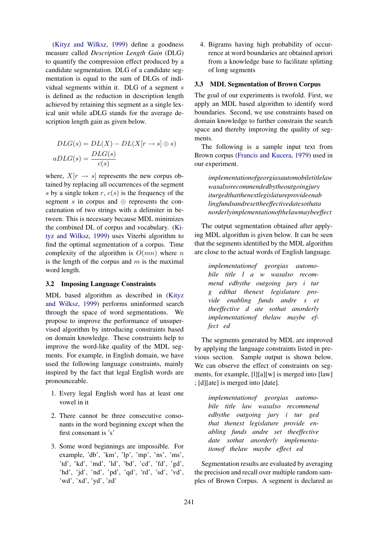(Kityz and Wilksz, 1999) define a goodness measure called *Description Length Gain* (DLG) to quantify the compression effect produced by a candidate segmentation. DLG of a candidate segmentation is equal to the sum of DLGs of individual segments within it. DLG of a segment s is defined as the reduction in description length achieved by retaining this segment as a single lexical unit while aDLG stands for the average description length gain as given below.

$$
DLG(s) = DL(X) - DL(X[r \to s] \oplus s)
$$

$$
aDLG(s) = \frac{DLG(s)}{c(s)}
$$

where,  $X[r \rightarrow s]$  represents the new corpus obtained by replacing all occurrences of the segment s by a single token  $r$ ,  $c(s)$  is the frequency of the segment s in corpus and  $oplus$  represents the concatenation of two strings with a delimiter in between. This is necessary because MDL minimizes the combined DL of corpus and vocabulary. (Kityz and Wilksz, 1999) uses Viterbi algorithm to find the optimal segmentation of a corpus. Time complexity of the algorithm is  $O(mn)$  where n is the length of the corpus and  $m$  is the maximal word length.

#### 3.2 Imposing Language Constraints

MDL based algorithm as described in (Kityz and Wilksz, 1999) performs uninformed search through the space of word segmentations. We propose to improve the performance of unsupervised algorithm by introducing constraints based on domain knowledge. These constraints help to improve the word-like quality of the MDL segments. For example, in English domain, we have used the following language constraints, mainly inspired by the fact that legal English words are pronounceable.

- 1. Every legal English word has at least one vowel in it
- 2. There cannot be three consecutive consonants in the word beginning except when the first consonant is 's'
- 3. Some word beginnings are impossible. For example, 'db', 'km', 'lp', 'mp', 'ns', 'ms', 'td', 'kd', 'md', 'ld', 'bd', 'cd', 'fd', 'gd', 'hd', 'jd', 'nd', 'pd', 'qd', 'rd', 'sd', 'vd', 'wd', 'xd', 'yd', 'zd'

4. Bigrams having high probability of occurrence at word boundaries are obtained apriori from a knowledge base to facilitate splitting of long segments

## 3.3 MDL Segmentation of Brown Corpus

The goal of our experiments is twofold. First, we apply an MDL based algorithm to identify word boundaries. Second, we use constraints based on domain knowledge to further constrain the search space and thereby improving the quality of segments.

The following is a sample input text from Brown corpus (Francis and Kucera, 1979) used in our experiment.

*implementationofgeorgiasautomobiletitlelaw wasalsorecommendedbytheoutgoingjury iturgedthatthenextlegislatureprovideenab lingfundsandresettheeffectivedatesothata norderlyimplementationofthelawmaybeeffect*

The output segmentation obtained after applying MDL algorithm is given below. It can be seen that the segments identified by the MDL algorithm are close to the actual words of English language.

*implementationof georgias automobile title l a w wasalso recommend edbythe outgoing jury i tur g edthat thenext legislature provide enabling funds andre s et theeffective d ate sothat anorderly implementationof thelaw maybe effect ed*

The segments generated by MDL are improved by applying the language constraints listed in previous section. Sample output is shown below. We can observe the effect of constraints on segments, for example, [l][a][w] is merged into [law] ; [d][ate] is merged into [date].

*implementationof georgias automobile title law wasalso recommend edbythe outgoing jury i tur ged that thenext legislature provide enabling funds andre set theeffective date sothat anorderly implementationof thelaw maybe effect ed*

Segmentation results are evaluated by averaging the precision and recall over multiple random samples of Brown Corpus. A segment is declared as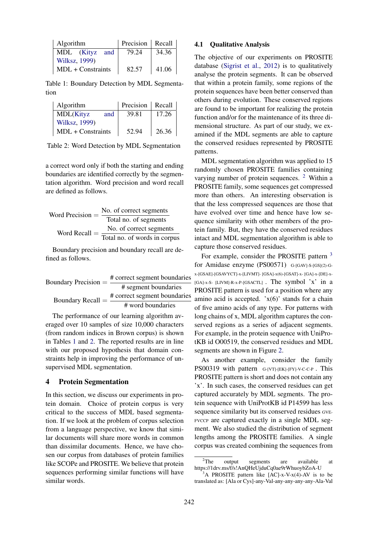| Algorithm           | Precision   Recall |       |  |  |
|---------------------|--------------------|-------|--|--|
| MDL (Kityz and      | 79.24              | 34.36 |  |  |
| Wilksz, 1999)       |                    |       |  |  |
| $MDL + Constraints$ | 82.57              | 41.06 |  |  |

Table 1: Boundary Detection by MDL Segmentation

| Algorithm                | Precision | Recall |  |  |
|--------------------------|-----------|--------|--|--|
| <b>MDL</b> (Kityz<br>and | 39.81     | 17.26  |  |  |
| Wilksz, 1999)            |           |        |  |  |
| MDL + Constraints        | 52.94     | 26.36  |  |  |

Table 2: Word Detection by MDL Segmentation

a correct word only if both the starting and ending boundaries are identified correctly by the segmentation algorithm. Word precision and word recall are defined as follows.

Word Precision = 
$$
\frac{\text{No. of correct segments}}{\text{Total no. of segments}}
$$

\nWord Recall =  $\frac{\text{No. of correct segments}}{\text{Total no. of words in corpus}}$ 

Boundary precision and boundary recall are defined as follows.

| Boundary Precision $=$ | # correct segment boundaries |
|------------------------|------------------------------|
|                        | # segment boundaries         |
| Boundary Recall $=$    | # correct segment boundaries |
|                        | # word boundaries            |

The performance of our learning algorithm averaged over 10 samples of size 10,000 characters (from random indices in Brown corpus) is shown in Tables 1 and 2. The reported results are in line with our proposed hypothesis that domain constraints help in improving the performance of unsupervised MDL segmentation.

## 4 Protein Segmentation

In this section, we discuss our experiments in protein domain. Choice of protein corpus is very critical to the success of MDL based segmentation. If we look at the problem of corpus selection from a language perspective, we know that similar documents will share more words in common than dissimilar documents. Hence, we have chosen our corpus from databases of protein families like SCOPe and PROSITE. We believe that protein sequences performing similar functions will have similar words.

## 4.1 Qualitative Analysis

The objective of our experiments on PROSITE database (Sigrist et al., 2012) is to qualitatively analyse the protein segments. It can be observed that within a protein family, some regions of the protein sequences have been better conserved than others during evolution. These conserved regions are found to be important for realizing the protein function and/or for the maintenance of its three dimensional structure. As part of our study, we examined if the MDL segments are able to capture the conserved residues represented by PROSITE patterns.

MDL segmentation algorithm was applied to 15 randomly chosen PROSITE families containing varying number of protein sequences. <sup>2</sup> Within a PROSITE family, some sequences get compressed more than others. An interesting observation is that the less compressed sequences are those that have evolved over time and hence have low sequence similarity with other members of the protein family. But, they have the conserved residues intact and MDL segmentation algorithm is able to capture those conserved residues.

For example, consider the PROSITE pattern <sup>3</sup> for Amidase enzyme (PS00571) G-[GAV]-S-[GS](2)-Gx-[GSAE]-[GSAVYCT]-x-[LIVMT]- [GSA]-x(6)-[GSAT]-x- [GA]-x-[DE]-x-  $[GA]$ -x-S- [LIVM]-R-x-P- $[GSACTL]$  . The symbol 'x' in a PROSITE pattern is used for a position where any amino acid is accepted.  $x(6)$  stands for a chain of five amino acids of any type. For patterns with long chains of x, MDL algorithm captures the conserved regions as a series of adjacent segments. For example, in the protein sequence with UniProtKB id O00519, the conserved residues and MDL segments are shown in Figure 2.

As another example, consider the family PS00319 with pattern G-[VT]-[EK]-[FY]-V-C-C-P. This PROSITE pattern is short and does not contain any 'x'. In such cases, the conserved residues can get captured accurately by MDL segments. The protein sequence with UniProtKB id P14599 has less sequence similarity but its conserved residues GVE-FVCCP are captured exactly in a single MDL segment. We also studied the distribution of segment lengths among the PROSITE families. A single corpus was created combining the sequences from

<sup>&</sup>lt;sup>2</sup>The output segments are available at https://1drv.ms/f/s!AnQHeUjduCq0ae9rWhuoybZoA-U

A PROSITE pattern like  $[AC]-x-V-x(4)-AV$  is to be translated as: [Ala or Cys]-any-Val-any-any-any-any-Ala-Val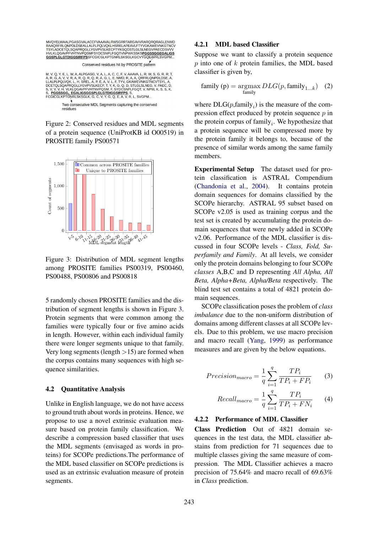MVOYELWAAL PGASGVALACCEVAAAVAL PWSGPPTARGAVVRARORORAGI ENMD MVQYELWAALPUSASUVALAULPURAAVALRWSGRENTARGAVVRARQRRRRDGENMENT<br>TSYLADCETQLSQAPRQGLLYGVPVSLKECFTYKGQDSTLGLSLNEGVPAECDSVVV<br>HVLKLQGAVPFVHTNVPQSMFSYDCSNPLFGQTVNPWKSSKSPGGSSSGGEGALLGS<br>COSPLGLGTDIGGSIRFPSSFCGICGLKPTGNRLSKSGLKGCVYG

Conserved residues hit by PROSITE pattern

M, V, Q, Y, E, L, W, A, ALPGASG, V, A, L, A, C, C, F, V, AAAVA, L, R, W, S, G, R, R, T,<br>A, R, G, A, V, V, R, A, R, Q, R, Q, R, A, G, L, E, NMD, R, A, A, QRFRLQNPDLDSE, A,<br>LLALPLPQLVQK, L, H, SREL, A, P, E, A, V, L, F, TYV, S, PGGSSGG, EGALIGSGGSPLGLGTDIGGSIRFPS, S,<br>FCGICGLKPTGNRLSKSGLK, G, C, V, Y, G, Q, E, A, V, R, L, SVGPM..

> Two consecutive MDL Segments capturing the conserved residues

Figure 2: Conserved residues and MDL segments of a protein sequence (UniProtKB id O00519) in PROSITE family PS00571



Figure 3: Distribution of MDL segment lengths among PROSITE families PS00319, PS00460, PS00488, PS00806 and PS00818

5 randomly chosen PROSITE families and the distribution of segment lengths is shown in Figure 3. Protein segments that were common among the families were typically four or five amino acids in length. However, within each individual family there were longer segments unique to that family. Very long segments (length  $>15$ ) are formed when the corpus contains many sequences with high sequence similarities.

#### 4.2 Quantitative Analysis

Unlike in English language, we do not have access to ground truth about words in proteins. Hence, we propose to use a novel extrinsic evaluation measure based on protein family classification. We describe a compression based classifier that uses the MDL segments (envisaged as words in proteins) for SCOPe predictions.The performance of the MDL based classifier on SCOPe predictions is used as an extrinsic evaluation measure of protein segments.

### 4.2.1 MDL based Classifier

Suppose we want to classify a protein sequence  $p$  into one of  $k$  protein families, the MDL based classifier is given by,

family (p) = 
$$
\underset{\text{family}}{\text{argmax}} DLG(p, \text{family})
$$
 (2)

where  $DLG(p, family<sub>i</sub>)$  is the measure of the compression effect produced by protein sequence  $p$  in the protein corpus of family<sub>i</sub>. We hypothesize that a protein sequence will be compressed more by the protein family it belongs to, because of the presence of similar words among the same family members.

Experimental Setup The dataset used for protein classification is ASTRAL Compendium (Chandonia et al., 2004). It contains protein domain sequences for domains classified by the SCOPe hierarchy. ASTRAL 95 subset based on SCOPe v2.05 is used as training corpus and the test set is created by accumulating the protein domain sequences that were newly added in SCOPe v2.06. Performance of the MDL classifier is discussed in four SCOPe levels - *Class, Fold, Superfamily and Family*. At all levels, we consider only the protein domains belonging to four SCOPe *classes* A,B,C and D representing *All Alpha, All Beta, Alpha+Beta, Alpha/Beta* respectively. The blind test set contains a total of 4821 protein domain sequences.

SCOPe classification poses the problem of *class imbalance* due to the non-uniform distribution of domains among different classes at all SCOPe levels. Due to this problem, we use macro precision and macro recall (Yang, 1999) as performance measures and are given by the below equations.

$$
Precision_{macro} = \frac{1}{q} \sum_{i=1}^{q} \frac{TP_i}{TP_i + FP_i}
$$
 (3)

$$
Recall_{macro} = \frac{1}{q} \sum_{i=1}^{q} \frac{TP_i}{TP_i + FN_i}
$$
 (4)

#### 4.2.2 Performance of MDL Classifier

Class Prediction Out of 4821 domain sequences in the test data, the MDL classifier abstains from prediction for 71 sequences due to multiple classes giving the same measure of compression. The MDL Classifier achieves a macro precision of 75.64% and macro recall of 69.63% in *Class* prediction.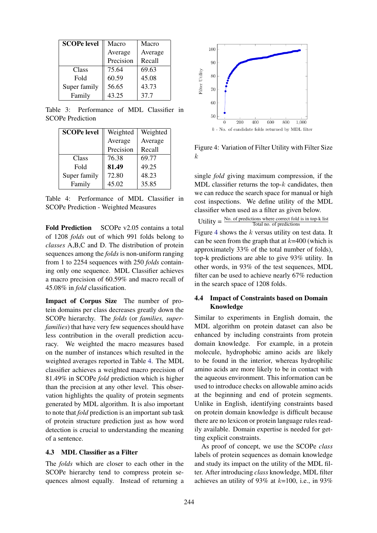| <b>SCOPe level</b> | Macro     | Macro   |
|--------------------|-----------|---------|
|                    | Average   | Average |
|                    | Precision | Recall  |
| Class              | 75.64     | 69.63   |
| Fold               | 60.59     | 45.08   |
| Super family       | 56.65     | 43.73   |
| Family             | 43.25     | 37.7    |

Table 3: Performance of MDL Classifier in SCOPe Prediction

| <b>SCOPe level</b> | Weighted  | Weighted |
|--------------------|-----------|----------|
|                    | Average   | Average  |
|                    | Precision | Recall   |
| Class              | 76.38     | 69.77    |
| Fold               | 81.49     | 49.25    |
| Super family       | 72.80     | 48.23    |
| Family             | 45.02     | 35.85    |

Table 4: Performance of MDL Classifier in SCOPe Prediction - Weighted Measures

Fold Prediction SCOPe v2.05 contains a total of 1208 *folds* out of which 991 folds belong to *classes* A,B,C and D. The distribution of protein sequences among the *folds* is non-uniform ranging from 1 to 2254 sequences with 250 *folds* containing only one sequence. MDL Classifier achieves a macro precision of 60.59% and macro recall of 45.08% in *fold* classification.

Impact of Corpus Size The number of protein domains per class decreases greatly down the SCOPe hierarchy. The *folds* (or *families, superfamilies*) that have very few sequences should have less contribution in the overall prediction accuracy. We weighted the macro measures based on the number of instances which resulted in the weighted averages reported in Table 4. The MDL classifier achieves a weighted macro precision of 81.49% in SCOPe *fold* prediction which is higher than the precision at any other level. This observation highlights the quality of protein segments generated by MDL algorithm. It is also important to note that *fold* prediction is an important sub task of protein structure prediction just as how word detection is crucial to understanding the meaning of a sentence.

## 4.3 MDL Classifier as a Filter

The *folds* which are closer to each other in the SCOPe hierarchy tend to compress protein sequences almost equally. Instead of returning a



Figure 4: Variation of Filter Utility with Filter Size k

single *fold* giving maximum compression, if the MDL classifier returns the top- $k$  candidates, then we can reduce the search space for manual or high cost inspections. We define utility of the MDL classifier when used as a filter as given below.

Utility  $=$  No. of predictions where correct fold is in top-k list Total no. of predictions Figure 4 shows the  $k$  versus utility on test data. It can be seen from the graph that at  $k=400$  (which is approximately 33% of the total number of folds), top-k predictions are able to give 93% utility. In other words, in 93% of the test sequences, MDL filter can be used to achieve nearly 67% reduction in the search space of 1208 folds.

## 4.4 Impact of Constraints based on Domain Knowledge

Similar to experiments in English domain, the MDL algorithm on protein dataset can also be enhanced by including constraints from protein domain knowledge. For example, in a protein molecule, hydrophobic amino acids are likely to be found in the interior, whereas hydrophilic amino acids are more likely to be in contact with the aqueous environment. This information can be used to introduce checks on allowable amino acids at the beginning and end of protein segments. Unlike in English, identifying constraints based on protein domain knowledge is difficult because there are no lexicon or protein language rules readily available. Domain expertise is needed for getting explicit constraints.

As proof of concept, we use the SCOPe *class* labels of protein sequences as domain knowledge and study its impact on the utility of the MDL filter. After introducing *class* knowledge, MDL filter achieves an utility of 93% at  $k=100$ , i.e., in 93%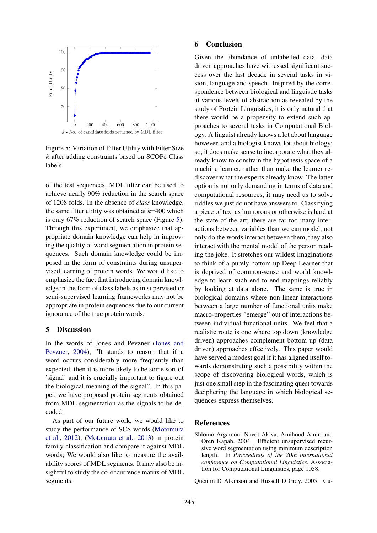

Figure 5: Variation of Filter Utility with Filter Size k after adding constraints based on SCOPe Class labels

of the test sequences, MDL filter can be used to achieve nearly 90% reduction in the search space of 1208 folds. In the absence of *class* knowledge, the same filter utility was obtained at  $k=400$  which is only 67% reduction of search space (Figure 5). Through this experiment, we emphasize that appropriate domain knowledge can help in improving the quality of word segmentation in protein sequences. Such domain knowledge could be imposed in the form of constraints during unsupervised learning of protein words. We would like to emphasize the fact that introducing domain knowledge in the form of class labels as in supervised or semi-supervised learning frameworks may not be appropriate in protein sequences due to our current ignorance of the true protein words.

## 5 Discussion

In the words of Jones and Pevzner (Jones and Pevzner, 2004), "It stands to reason that if a word occurs considerably more frequently than expected, then it is more likely to be some sort of 'signal' and it is crucially important to figure out the biological meaning of the signal". In this paper, we have proposed protein segments obtained from MDL segmentation as the signals to be decoded.

As part of our future work, we would like to study the performance of SCS words (Motomura et al., 2012), (Motomura et al., 2013) in protein family classification and compare it against MDL words; We would also like to measure the availability scores of MDL segments. It may also be insightful to study the co-occurrence matrix of MDL segments.

#### 6 Conclusion

Given the abundance of unlabelled data, data driven approaches have witnessed significant success over the last decade in several tasks in vision, language and speech. Inspired by the correspondence between biological and linguistic tasks at various levels of abstraction as revealed by the study of Protein Linguistics, it is only natural that there would be a propensity to extend such approaches to several tasks in Computational Biology. A linguist already knows a lot about language however, and a biologist knows lot about biology; so, it does make sense to incorporate what they already know to constrain the hypothesis space of a machine learner, rather than make the learner rediscover what the experts already know. The latter option is not only demanding in terms of data and computational resources, it may need us to solve riddles we just do not have answers to. Classifying a piece of text as humorous or otherwise is hard at the state of the art; there are far too many interactions between variables than we can model, not only do the words interact between them, they also interact with the mental model of the person reading the joke. It stretches our wildest imaginations to think of a purely bottom up Deep Learner that is deprived of common-sense and world knowledge to learn such end-to-end mappings reliably by looking at data alone. The same is true in biological domains where non-linear interactions between a large number of functional units make macro-properties "emerge" out of interactions between individual functional units. We feel that a realistic route is one where top down (knowledge driven) approaches complement bottom up (data driven) approaches effectively. This paper would have served a modest goal if it has aligned itself towards demonstrating such a possibility within the scope of discovering biological words, which is just one small step in the fascinating quest towards deciphering the language in which biological sequences express themselves.

#### References

Shlomo Argamon, Navot Akiva, Amihood Amir, and Oren Kapah. 2004. Efficient unsupervised recursive word segmentation using minimum description length. In *Proceedings of the 20th international conference on Computational Linguistics*. Association for Computational Linguistics, page 1058.

Quentin D Atkinson and Russell D Gray. 2005. Cu-